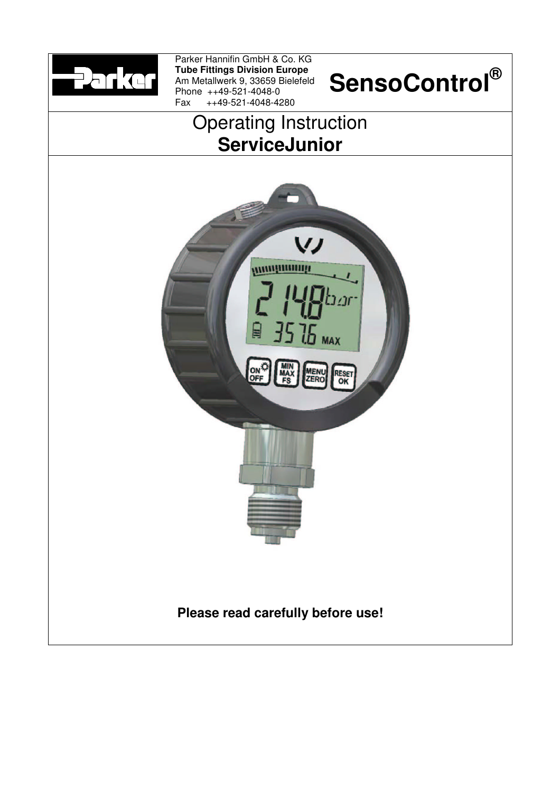

Parker Hannifin GmbH & Co. KG **Tube Fittings Division Europe** Am Metallwerk 9, 33659 Bielefeld Phone ++49-521-4048-0 Fax ++49-521-4048-4280

# **SensoControl®**





# **Please read carefully before use!**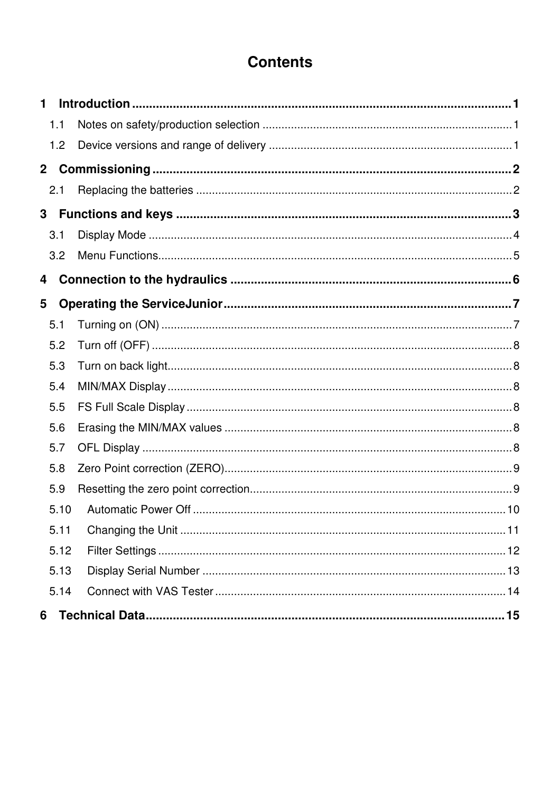# **Contents**

| 1            |  |
|--------------|--|
| 1.1          |  |
| 1.2          |  |
| $\mathbf{2}$ |  |
| 2.1          |  |
| 3            |  |
| 3.1          |  |
| 3.2          |  |
| 4            |  |
| 5            |  |
| 5.1          |  |
| 5.2          |  |
| 5.3          |  |
| 5.4          |  |
| 5.5          |  |
| 5.6          |  |
| 5.7          |  |
| 5.8          |  |
| 5.9          |  |
| 5.10         |  |
| 5.11         |  |
| 5.12         |  |
| 5.13         |  |
| 5.14         |  |
| 6            |  |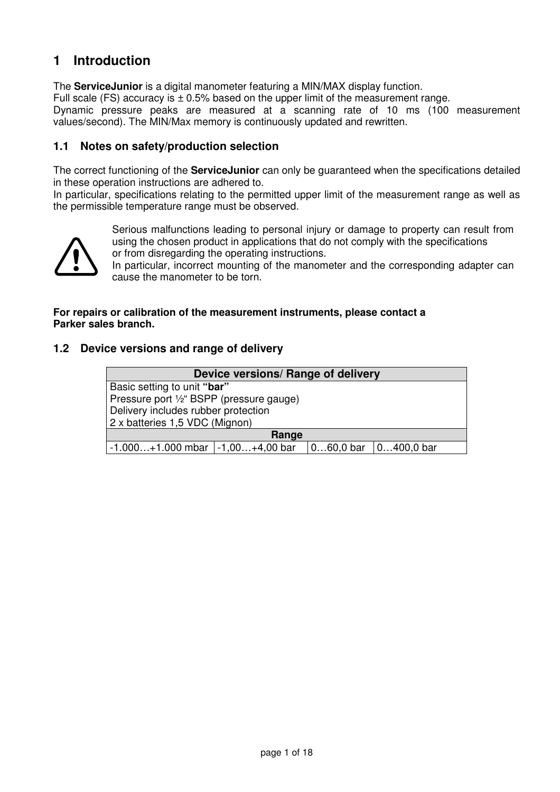## **1 Introduction**

The **ServiceJunior** is a digital manometer featuring a MIN/MAX display function. Full scale (FS) accuracy is  $\pm$  0.5% based on the upper limit of the measurement range. Dynamic pressure peaks are measured at a scanning rate of 10 ms (100 measurement values/second). The MIN/Max memory is continuously updated and rewritten.

#### **1.1 Notes on safety/production selection**

The correct functioning of the **ServiceJunior** can only be guaranteed when the specifications detailed in these operation instructions are adhered to.

In particular, specifications relating to the permitted upper limit of the measurement range as well as the permissible temperature range must be observed.



Serious malfunctions leading to personal injury or damage to property can result from using the chosen product in applications that do not comply with the specifications or from disregarding the operating instructions.

In particular, incorrect mounting of the manometer and the corresponding adapter can cause the manometer to be torn.

#### **For repairs or calibration of the measurement instruments, please contact a Parker sales branch.**

#### **1.2 Device versions and range of delivery**

| Device versions/ Range of delivery                               |                                          |  |  |  |  |
|------------------------------------------------------------------|------------------------------------------|--|--|--|--|
| Basic setting to unit "bar"                                      |                                          |  |  |  |  |
|                                                                  | Pressure port 1/2" BSPP (pressure gauge) |  |  |  |  |
| Delivery includes rubber protection                              |                                          |  |  |  |  |
| 2 x batteries 1,5 VDC (Mignon)                                   |                                          |  |  |  |  |
| Range                                                            |                                          |  |  |  |  |
| -1.000+1.000 mbar   -1,00+4,00 bar<br>$ 060,0$ bar $ 0400,0$ bar |                                          |  |  |  |  |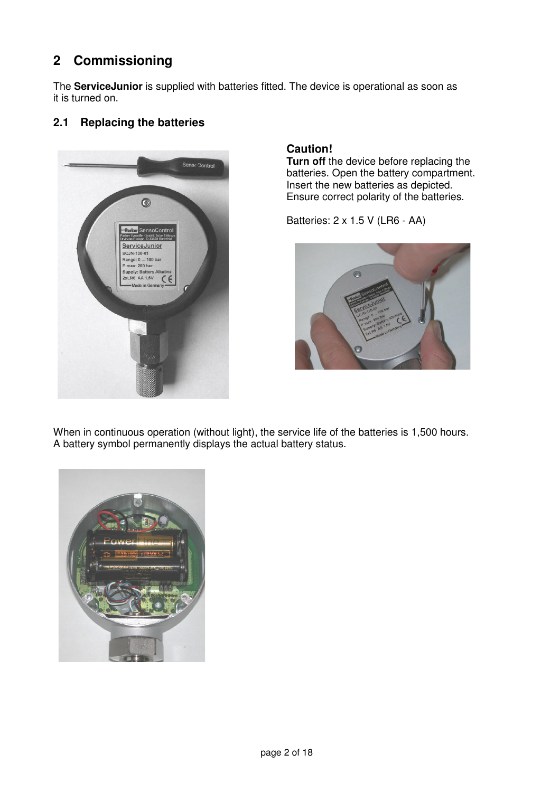# **2 Commissioning**

The **ServiceJunior** is supplied with batteries fitted. The device is operational as soon as it is turned on.

#### **2.1 Replacing the batteries**



#### **Caution!**

**Turn off** the device before replacing the batteries. Open the battery compartment. Insert the new batteries as depicted. Ensure correct polarity of the batteries.

Batteries: 2 x 1.5 V (LR6 - AA)



When in continuous operation (without light), the service life of the batteries is 1,500 hours. A battery symbol permanently displays the actual battery status.

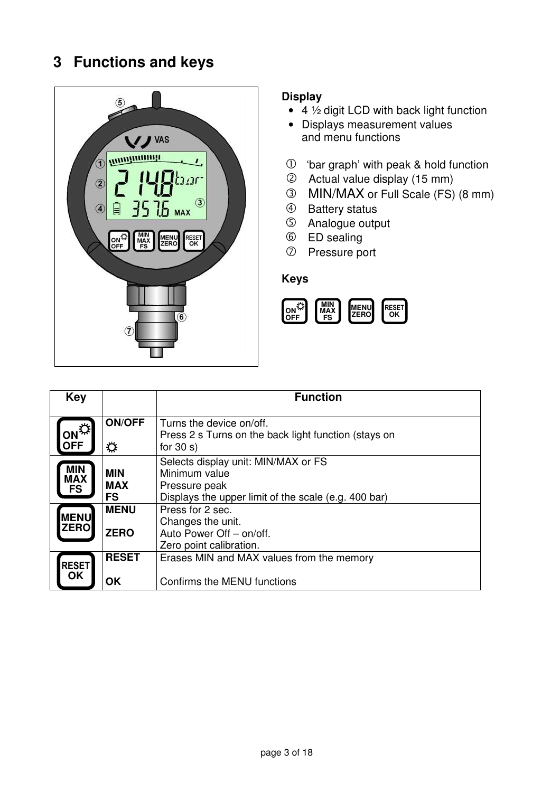# **3 Functions and keys**



#### **Display**

- 4 ½ digit LCD with back light function
- Displays measurement values and menu functions
- 'bar graph' with peak & hold function
- Actual value display (15 mm)
- MIN/MAX or Full Scale (FS) (8 mm)
- 4 Battery status
- Analogue output
- ED sealing
- Pressure port

#### **Keys**



| <b>Key</b>                            |                                       | <b>Function</b>                                                                                                               |
|---------------------------------------|---------------------------------------|-------------------------------------------------------------------------------------------------------------------------------|
| ON <sup>EX!</sup><br><b>OFF</b>       | <b>ON/OFF</b><br>☆                    | Turns the device on/off.<br>Press 2 s Turns on the back light function (stays on<br>for $30 s$ )                              |
| <b>MIN</b><br><b>MAX</b><br><b>FS</b> | <b>MIN</b><br><b>MAX</b><br><b>FS</b> | Selects display unit: MIN/MAX or FS<br>Minimum value<br>Pressure peak<br>Displays the upper limit of the scale (e.g. 400 bar) |
| <b>MENU</b><br><b>ZERO</b>            | <b>MENU</b><br><b>ZERO</b>            | Press for 2 sec.<br>Changes the unit.<br>Auto Power Off - on/off.<br>Zero point calibration.                                  |
| <b>RESET</b><br>OK                    | <b>RESET</b><br><b>OK</b>             | Erases MIN and MAX values from the memory<br>Confirms the MENU functions                                                      |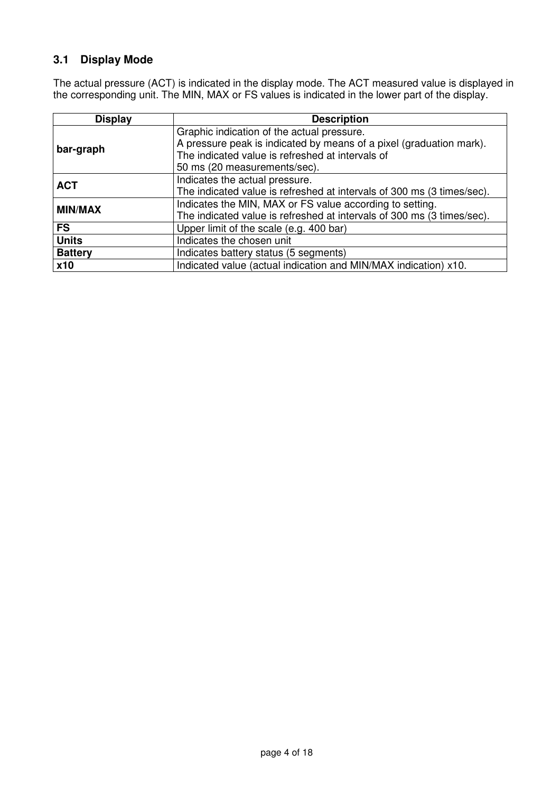## **3.1 Display Mode**

The actual pressure (ACT) is indicated in the display mode. The ACT measured value is displayed in the corresponding unit. The MIN, MAX or FS values is indicated in the lower part of the display.

| <b>Display</b>                                                                | <b>Description</b>                                                     |  |  |  |
|-------------------------------------------------------------------------------|------------------------------------------------------------------------|--|--|--|
|                                                                               | Graphic indication of the actual pressure.                             |  |  |  |
| bar-graph                                                                     | A pressure peak is indicated by means of a pixel (graduation mark).    |  |  |  |
|                                                                               | The indicated value is refreshed at intervals of                       |  |  |  |
|                                                                               | 50 ms (20 measurements/sec).                                           |  |  |  |
| <b>ACT</b>                                                                    | Indicates the actual pressure.                                         |  |  |  |
|                                                                               | The indicated value is refreshed at intervals of 300 ms (3 times/sec). |  |  |  |
| <b>MIN/MAX</b>                                                                | Indicates the MIN, MAX or FS value according to setting.               |  |  |  |
|                                                                               | The indicated value is refreshed at intervals of 300 ms (3 times/sec). |  |  |  |
| <b>FS</b>                                                                     | Upper limit of the scale (e.g. 400 bar)                                |  |  |  |
| <b>Units</b>                                                                  | Indicates the chosen unit                                              |  |  |  |
| <b>Battery</b>                                                                | Indicates battery status (5 segments)                                  |  |  |  |
| Indicated value (actual indication and MIN/MAX indication) x10.<br><b>x10</b> |                                                                        |  |  |  |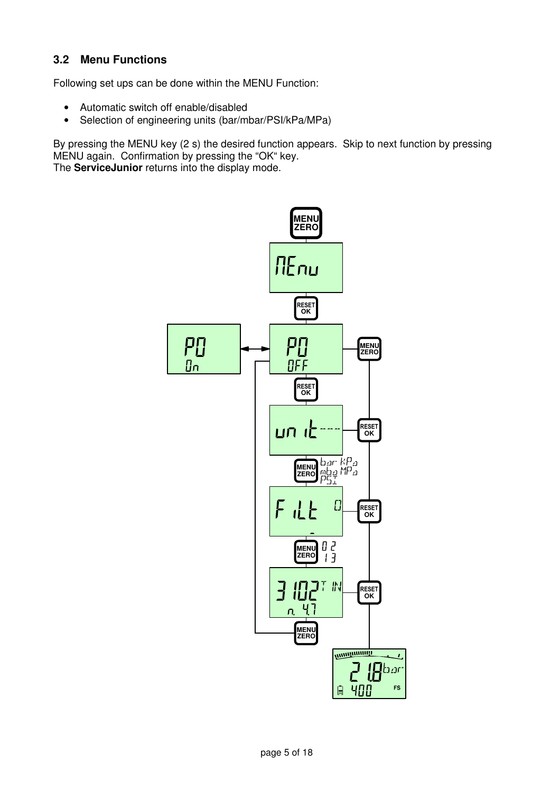#### **3.2 Menu Functions**

Following set ups can be done within the MENU Function:

- Automatic switch off enable/disabled
- Selection of engineering units (bar/mbar/PSI/kPa/MPa)

By pressing the MENU key (2 s) the desired function appears. Skip to next function by pressing MENU again. Confirmation by pressing the "OK" key.

The **ServiceJunior** returns into the display mode.

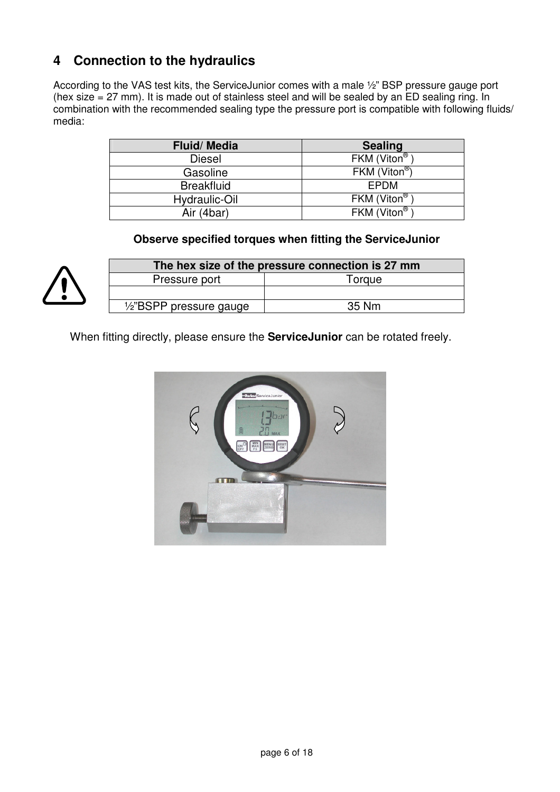# **4 Connection to the hydraulics**

According to the VAS test kits, the ServiceJunior comes with a male ½" BSP pressure gauge port (hex size = 27 mm). It is made out of stainless steel and will be sealed by an ED sealing ring. In combination with the recommended sealing type the pressure port is compatible with following fluids/ media:

| <b>Fluid/Media</b> | <b>Sealing</b>            |
|--------------------|---------------------------|
| <b>Diesel</b>      | FKM (Viton®               |
| Gasoline           | FKM (Viton <sup>®</sup> ) |
| <b>Breakfluid</b>  | EPDM                      |
| Hydraulic-Oil      | FKM (Viton <sup>®</sup>   |
| Air (4bar)         | FKM (Viton®               |

**Observe specified torques when fitting the ServiceJunior** 



| The hex size of the pressure connection is 27 mm |  |  |
|--------------------------------------------------|--|--|
| Torque                                           |  |  |
|                                                  |  |  |
| 35 Nm                                            |  |  |
|                                                  |  |  |

When fitting directly, please ensure the **ServiceJunior** can be rotated freely.

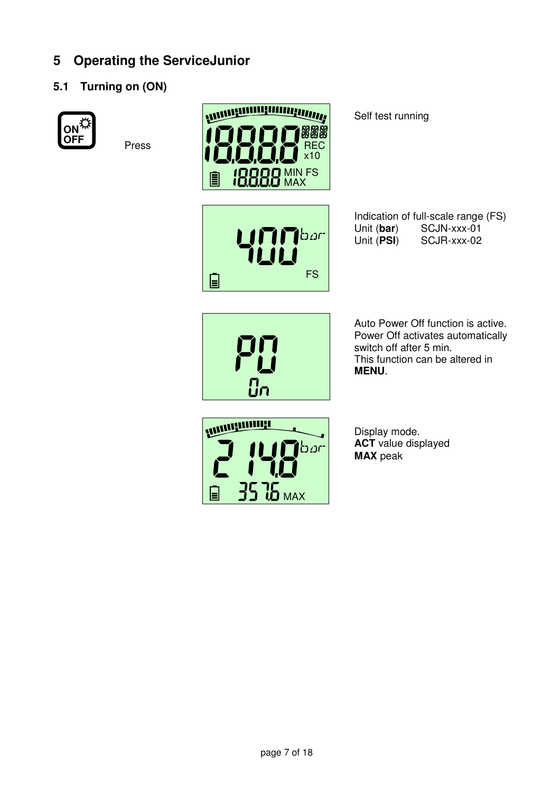# **5 Operating the ServiceJunior**

## **5.1 Turning on (ON)**



**Press** 





Indication of full-scale range (FS)<br>Unit (bar) SCJN-xxx-01 Unit (**bar**) SCJN-xxx-01<br>Unit (**PSI**) SCJR-xxx-02 **SCJR-xxx-02** 



Auto Power Off function is active. Power Off activates automatically switch off after 5 min. This function can be altered in **MENU**.



Display mode. **ACT** value displayed **MAX** peak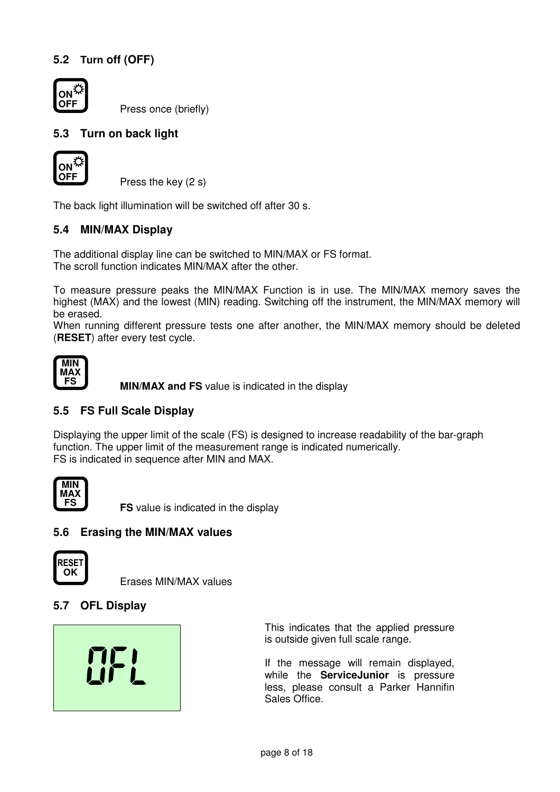## **5.2 Turn off (OFF)**



Press once (briefly)

#### **5.3 Turn on back light**



Press the key (2 s)

The back light illumination will be switched off after 30 s.

#### **5.4 MIN/MAX Display**

The additional display line can be switched to MIN/MAX or FS format. The scroll function indicates MIN/MAX after the other.

To measure pressure peaks the MIN/MAX Function is in use. The MIN/MAX memory saves the highest (MAX) and the lowest (MIN) reading. Switching off the instrument, the MIN/MAX memory will be erased.

When running different pressure tests one after another, the MIN/MAX memory should be deleted (**RESET**) after every test cycle.



**MIN/MAX and FS** value is indicated in the display

#### **5.5 FS Full Scale Display**

Displaying the upper limit of the scale (FS) is designed to increase readability of the bar-graph function. The upper limit of the measurement range is indicated numerically. FS is indicated in sequence after MIN and MAX.



**FS FS** value is indicated in the display

#### **5.6 Erasing the MIN/MAX values**



Erases MIN/MAX values

#### **5.7 OFL Display**



This indicates that the applied pressure is outside given full scale range.

If the message will remain displayed, while the **ServiceJunior** is pressure less, please consult a Parker Hannifin Sales Office.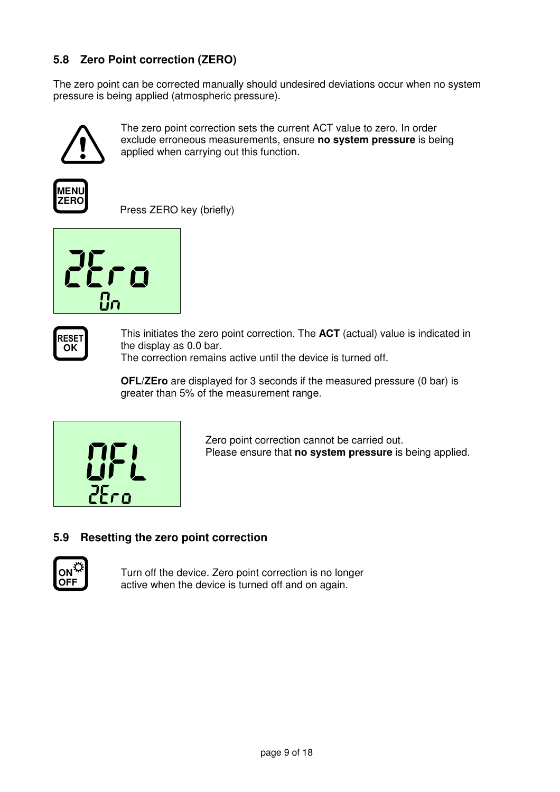## **5.8 Zero Point correction (ZERO)**

The zero point can be corrected manually should undesired deviations occur when no system pressure is being applied (atmospheric pressure).



The zero point correction sets the current ACT value to zero. In order exclude erroneous measurements, ensure **no system pressure** is being applied when carrying out this function.



Press ZERO key (briefly)





This initiates the zero point correction. The **ACT** (actual) value is indicated in the display as 0.0 bar. The correction remains active until the device is turned off.

**OFL/ZEro** are displayed for 3 seconds if the measured pressure (0 bar) is





Zero point correction cannot be carried out. Please ensure that **no system pressure** is being applied.

#### **5.9 Resetting the zero point correction**



Turn off the device. Zero point correction is no longer active when the device is turned off and on again.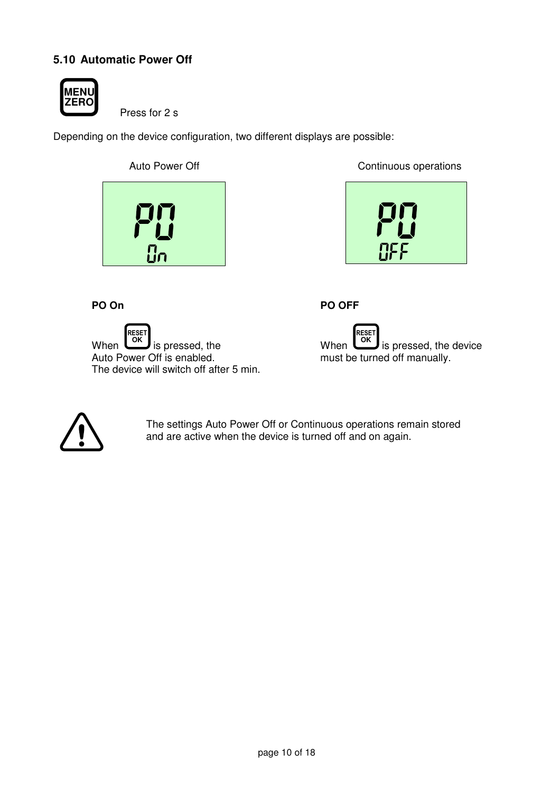## **5.10 Automatic Power Off**



Press for 2 s

Depending on the device configuration, two different displays are possible:



Auto Power Off **Continuous** operations



**PO OFF** 

When RESET **OK** is pressed, the Auto Power Off is enabled. The device will switch off after 5 min.





**PO On**

The settings Auto Power Off or Continuous operations remain stored and are active when the device is turned off and on again.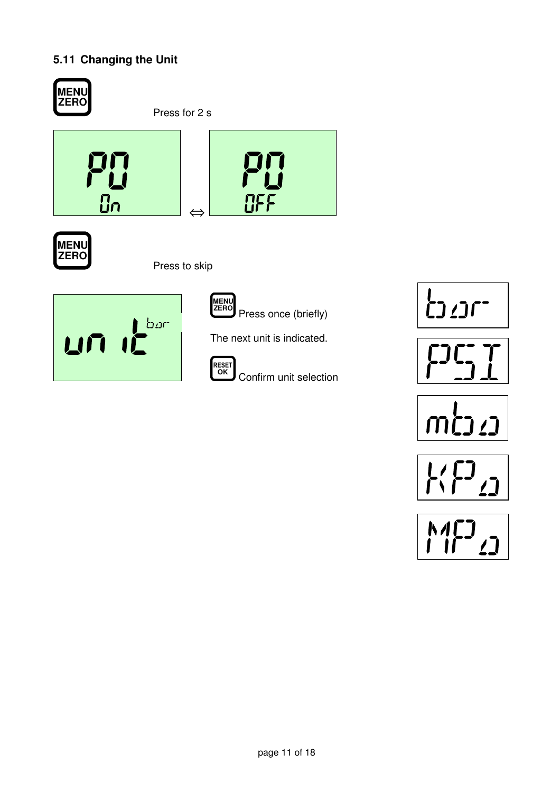## **5.11 Changing the Unit**











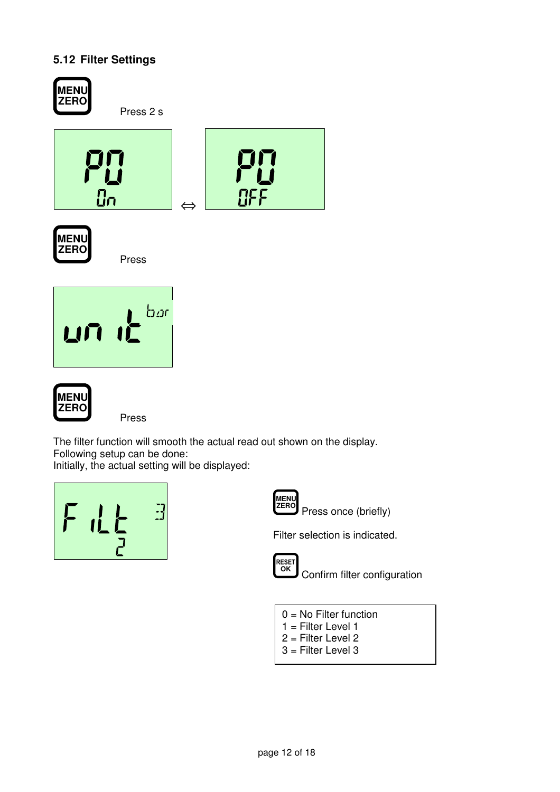## **5.12 Filter Settings**



The filter function will smooth the actual read out shown on the display. Following setup can be done:

Initially, the actual setting will be displayed:



**MENU**<br>ZERO

Press once (briefly)

Filter selection is indicated.



**Confirm filter configuration** 

- 0 = No Filter function
- 1 = Filter Level 1
- 2 = Filter Level 2
- 3 = Filter Level 3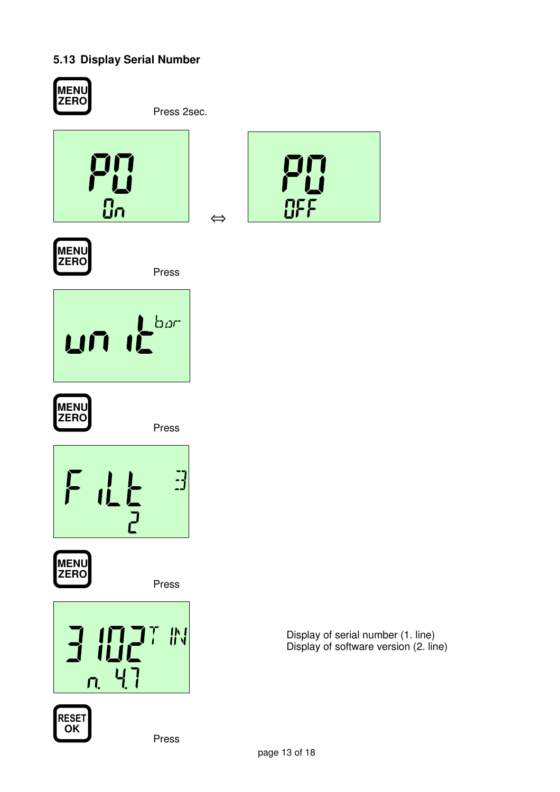## **5.13 Display Serial Number**



**MENU ZERO**

Press 2sec.









Press





Press





Press

Display of serial number (1. line) Display of software version (2. line)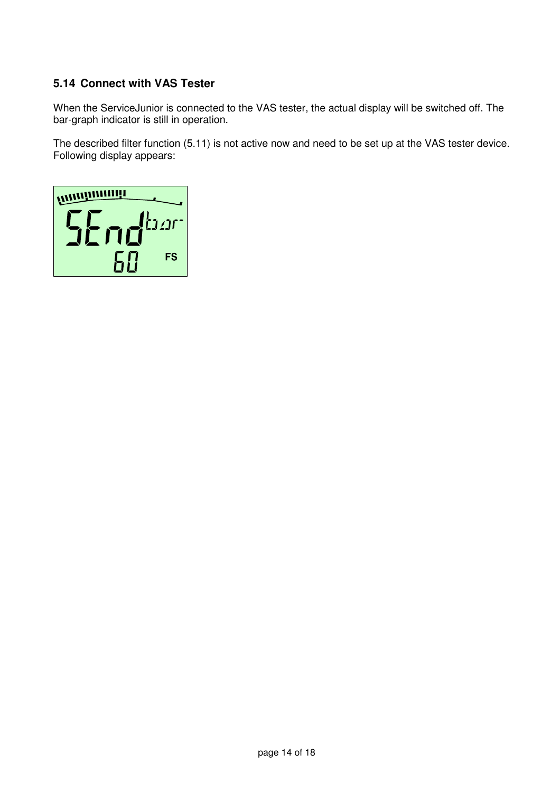#### **5.14 Connect with VAS Tester**

When the ServiceJunior is connected to the VAS tester, the actual display will be switched off. The bar-graph indicator is still in operation.

The described filter function (5.11) is not active now and need to be set up at the VAS tester device. Following display appears:

**WINDOWNIANILE** SEndbar **FS** 60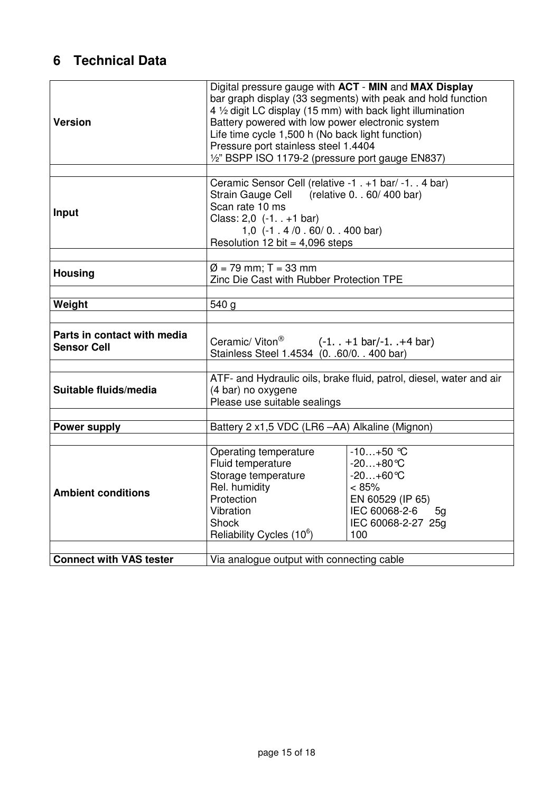# **6 Technical Data**

| <b>Version</b>                                                        | Digital pressure gauge with ACT - MIN and MAX Display<br>bar graph display (33 segments) with peak and hold function<br>4 1/2 digit LC display (15 mm) with back light illumination<br>Battery powered with low power electronic system<br>Life time cycle 1,500 h (No back light function)<br>Pressure port stainless steel 1.4404<br>1/2" BSPP ISO 1179-2 (pressure port gauge EN837) |                                                                                                                                        |  |  |
|-----------------------------------------------------------------------|-----------------------------------------------------------------------------------------------------------------------------------------------------------------------------------------------------------------------------------------------------------------------------------------------------------------------------------------------------------------------------------------|----------------------------------------------------------------------------------------------------------------------------------------|--|--|
| Input                                                                 | Ceramic Sensor Cell (relative -1 . +1 bar/ -1. . 4 bar)<br>Strain Gauge Cell (relative 0. . 60/400 bar)<br>Scan rate 10 ms<br>Class: $2,0$ $(-1. +1$ bar)<br>1,0 $(-1.4/0.60/0.400 \text{ bar})$<br>Resolution 12 bit = $4,096$ steps                                                                                                                                                   |                                                                                                                                        |  |  |
| <b>Housing</b>                                                        | $\emptyset$ = 79 mm; T = 33 mm<br>Zinc Die Cast with Rubber Protection TPE                                                                                                                                                                                                                                                                                                              |                                                                                                                                        |  |  |
| Weight                                                                | 540 g                                                                                                                                                                                                                                                                                                                                                                                   |                                                                                                                                        |  |  |
| Parts in contact with media<br><b>Sensor Cell</b>                     | Ceramic/Viton <sup>®</sup> $(-1. +1 \text{ bar}/-1. +4 \text{ bar})$<br>Stainless Steel 1.4534 (0. .60/0. . 400 bar)                                                                                                                                                                                                                                                                    |                                                                                                                                        |  |  |
| Suitable fluids/media                                                 | ATF- and Hydraulic oils, brake fluid, patrol, diesel, water and air<br>(4 bar) no oxygene<br>Please use suitable sealings                                                                                                                                                                                                                                                               |                                                                                                                                        |  |  |
| Battery 2 x1,5 VDC (LR6 -AA) Alkaline (Mignon)<br><b>Power supply</b> |                                                                                                                                                                                                                                                                                                                                                                                         |                                                                                                                                        |  |  |
| <b>Ambient conditions</b>                                             | Operating temperature<br>Fluid temperature<br>Storage temperature<br>Rel. humidity<br>Protection<br>Vibration<br><b>Shock</b><br>Reliability Cycles (10 <sup>6</sup> )                                                                                                                                                                                                                  | $-10+50$ °C<br>$-20+80$ °C<br>$-20+60$ °C<br>< 85%<br>EN 60529 (IP 65)<br>IEC 60068-2-6<br>5 <sub>q</sub><br>IEC 60068-2-27 25g<br>100 |  |  |
| <b>Connect with VAS tester</b>                                        |                                                                                                                                                                                                                                                                                                                                                                                         | Via analogue output with connecting cable                                                                                              |  |  |